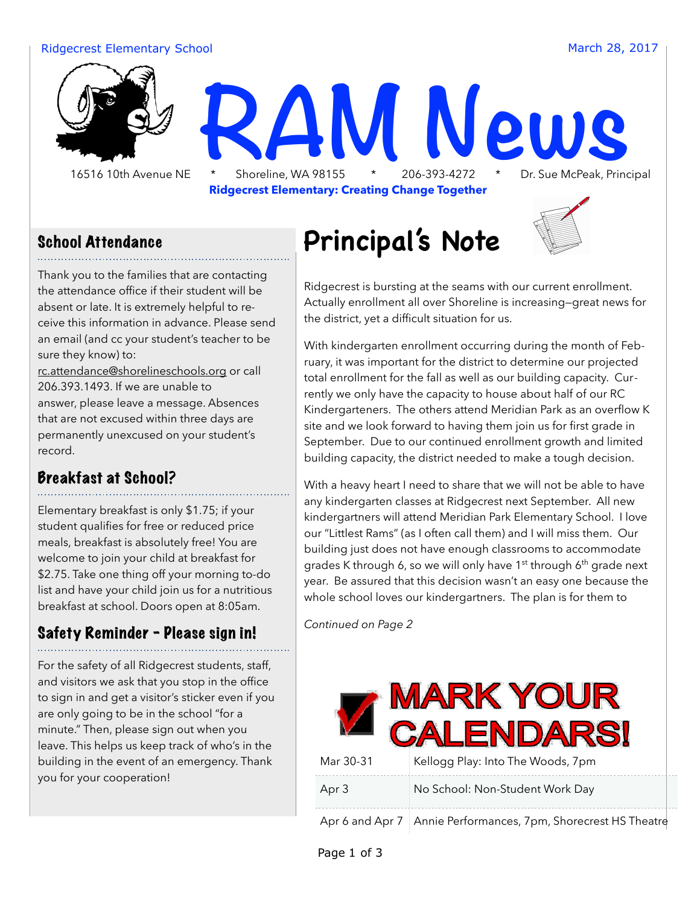#### Ridgecrest Elementary School and The Control of the Control of the March 28, 2017



#### School Attendance

Thank you to the families that are contacting the attendance office if their student will be absent or late. It is extremely helpful to receive this information in advance. Please send an email (and cc your student's teacher to be sure they know) to:

[rc.attendance@shorelineschools.org](mailto:rc.attendance@shorelineschools.org) or call 206.393.1493. If we are unable to answer, please leave a message. Absences that are not excused within three days are permanently unexcused on your student's record.

### Breakfast at School?

Elementary breakfast is only \$1.75; if your student qualifies for free or reduced price meals, breakfast is absolutely free! You are welcome to join your child at breakfast for \$2.75. Take one thing off your morning to-do list and have your child join us for a nutritious breakfast at school. Doors open at 8:05am.

### Safety Reminder - Please sign in!

For the safety of all Ridgecrest students, staff, and visitors we ask that you stop in the office to sign in and get a visitor's sticker even if you are only going to be in the school "for a minute." Then, please sign out when you leave. This helps us keep track of who's in the building in the event of an emergency. Thank you for your cooperation!

## **Principal's Note**



Ridgecrest is bursting at the seams with our current enrollment. Actually enrollment all over Shoreline is increasing—great news for the district, yet a difficult situation for us.

With kindergarten enrollment occurring during the month of February, it was important for the district to determine our projected total enrollment for the fall as well as our building capacity. Currently we only have the capacity to house about half of our RC Kindergarteners. The others attend Meridian Park as an overflow K site and we look forward to having them join us for first grade in September. Due to our continued enrollment growth and limited building capacity, the district needed to make a tough decision.

With a heavy heart I need to share that we will not be able to have any kindergarten classes at Ridgecrest next September. All new kindergartners will attend Meridian Park Elementary School. I love our "Littlest Rams" (as I often call them) and I will miss them. Our building just does not have enough classrooms to accommodate grades K through 6, so we will only have 1<sup>st</sup> through 6<sup>th</sup> grade next year. Be assured that this decision wasn't an easy one because the whole school loves our kindergartners. The plan is for them to

*Continued on Page 2*

| <b>MARK YOUR</b><br>CALENDARSI |                                                                  |
|--------------------------------|------------------------------------------------------------------|
| Mar 30-31                      | Kellogg Play: Into The Woods, 7pm                                |
| Apr 3                          | No School: Non-Student Work Day                                  |
|                                | Apr 6 and Apr 7   Annie Performances, 7pm, Shorecrest HS Theatre |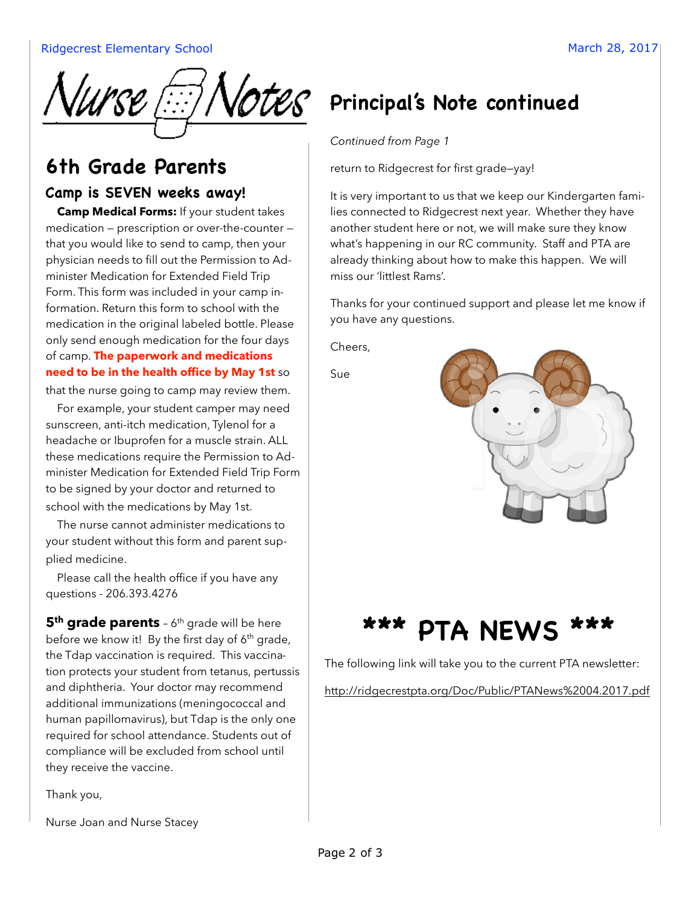

## **6th Grade Parents**

#### **Camp is SEVEN weeks away!**

**Camp Medical Forms:** If your student takes medication — prescription or over-the-counter that you would like to send to camp, then your physician needs to fill out the Permission to Administer Medication for Extended Field Trip Form. This form was included in your camp information. Return this form to school with the medication in the original labeled bottle. Please only send enough medication for the four days of camp. **The paperwork and medications need to be in the health office by May 1st** so

that the nurse going to camp may review them.

For example, your student camper may need sunscreen, anti-itch medication, Tylenol for a headache or Ibuprofen for a muscle strain. ALL these medications require the Permission to Administer Medication for Extended Field Trip Form to be signed by your doctor and returned to school with the medications by May 1st.

The nurse cannot administer medications to your student without this form and parent supplied medicine.

Please call the health office if you have any questions - 206.393.4276

**5<sup>th</sup> grade parents** - 6<sup>th</sup> grade will be here before we know it! By the first day of  $6<sup>th</sup>$  grade, the Tdap vaccination is required. This vaccination protects your student from tetanus, pertussis and diphtheria. Your doctor may recommend additional immunizations (meningococcal and human papillomavirus), but Tdap is the only one required for school attendance. Students out of compliance will be excluded from school until they receive the vaccine.

Thank you,

Nurse Joan and Nurse Stacey

## **VOTES** Principal's Note continued

*Continued from Page 1* 

return to Ridgecrest for first grade—yay!

It is very important to us that we keep our Kindergarten families connected to Ridgecrest next year. Whether they have another student here or not, we will make sure they know what's happening in our RC community. Staff and PTA are already thinking about how to make this happen. We will miss our 'littlest Rams'.

Thanks for your continued support and please let me know if you have any questions.

Cheers,

Sue



## **\*\*\* PTA NEWS \*\*\***

The following link will take you to the current PTA newsletter:

<http://ridgecrestpta.org/Doc/Public/PTANews%2004.2017.pdf>